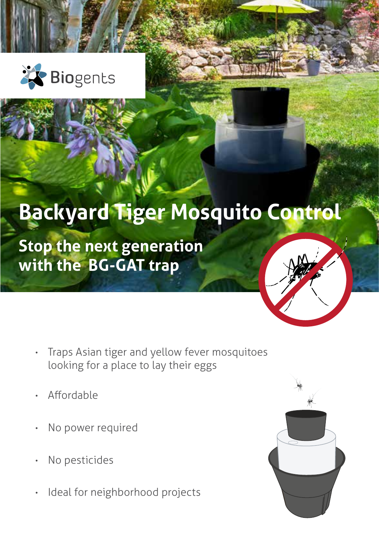

# **Backyard Tiger Mosquito Control**

**Stop the next generation with the BG-GAT trap**



- Traps Asian tiger and yellow fever mosquitoes looking for a place to lay their eggs
- Affordable
- No power required
- No pesticides
- Ideal for neighborhood projects

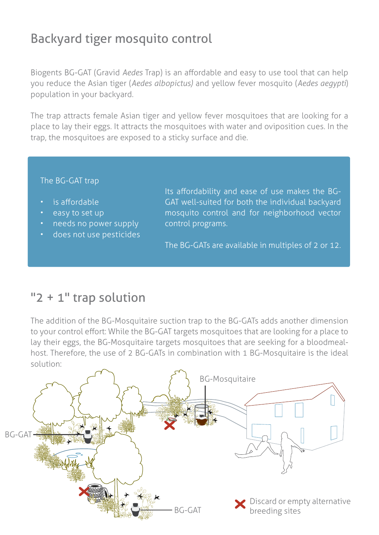# Backyard tiger mosquito control

Biogents BG-GAT (Gravid *Aedes* Trap) is an affordable and easy to use tool that can help you reduce the Asian tiger (*Aedes albopictus)* and yellow fever mosquito (*Aedes aegypti*) population in your backyard.

The trap attracts female Asian tiger and yellow fever mosquitoes that are looking for a place to lay their eggs. It attracts the mosquitoes with water and oviposition cues. In the trap, the mosquitoes are exposed to a sticky surface and die.

#### The BG-GAT trap

- is affordable
- easy to set up
- **heads** no power supply
- does not use pesticides

Its affordability and ease of use makes the BG-GAT well-suited for both the individual backyard mosquito control and for neighborhood vector control programs.

The BG-GATs are available in multiples of 2 or 12.

## "2 + 1" trap solution

The addition of the BG-Mosquitaire suction trap to the BG-GATs adds another dimension to your control effort: While the BG-GAT targets mosquitoes that are looking for a place to lay their eggs, the BG-Mosquitaire targets mosquitoes that are seeking for a bloodmealhost. Therefore, the use of 2 BG-GATs in combination with 1 BG-Mosquitaire is the ideal solution:

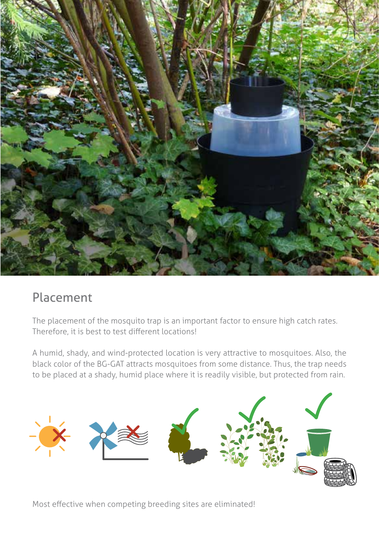

### Placement

The placement of the mosquito trap is an important factor to ensure high catch rates. Therefore, it is best to test different locations!

A humid, shady, and wind-protected location is very attractive to mosquitoes. Also, the black color of the BG-GAT attracts mosquitoes from some distance. Thus, the trap needs to be placed at a shady, humid place where it is readily visible, but protected from rain.



Most effective when competing breeding sites are eliminated!